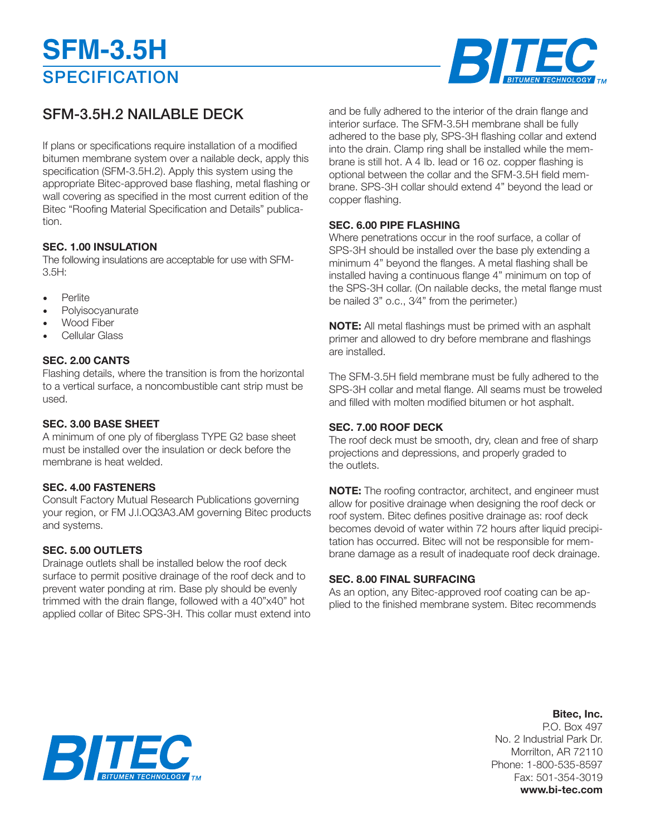# **SPECIFICATION SFM-3.5H**



# SFM-3.5H.2 NAILABLE DECK

If plans or specifications require installation of a modified bitumen membrane system over a nailable deck, apply this specification (SFM-3.5H.2). Apply this system using the appropriate Bitec-approved base flashing, metal flashing or wall covering as specified in the most current edition of the Bitec "Roofing Material Specification and Details" publication.

### **SEC. 1.00 INSULATION**

The following insulations are acceptable for use with SFM-3.5H:

- **Perlite**
- **Polyisocyanurate**
- Wood Fiber
- Cellular Glass

#### **SEC. 2.00 CANTS**

Flashing details, where the transition is from the horizontal to a vertical surface, a noncombustible cant strip must be used.

#### **SEC. 3.00 BASE SHEET**

A minimum of one ply of fiberglass TYPE G2 base sheet must be installed over the insulation or deck before the membrane is heat welded.

#### **SEC. 4.00 FASTENERS**

Consult Factory Mutual Research Publications governing your region, or FM J.l.OQ3A3.AM governing Bitec products and systems.

#### **SEC. 5.00 OUTLETS**

Drainage outlets shall be installed below the roof deck surface to permit positive drainage of the roof deck and to prevent water ponding at rim. Base ply should be evenly trimmed with the drain flange, followed with a 40"x40" hot applied collar of Bitec SPS-3H. This collar must extend into

and be fully adhered to the interior of the drain flange and interior surface. The SFM-3.5H membrane shall be fully adhered to the base ply, SPS-3H flashing collar and extend into the drain. Clamp ring shall be installed while the membrane is still hot. A 4 Ib. Iead or 16 oz. copper flashing is optional between the collar and the SFM-3.5H field membrane. SPS-3H collar should extend 4" beyond the lead or copper flashing.

#### **SEC. 6.00 PIPE FLASHING**

Where penetrations occur in the roof surface, a collar of SPS-3H should be installed over the base ply extending a minimum 4" beyond the flanges. A metal flashing shall be installed having a continuous flange 4" minimum on top of the SPS-3H collar. (On nailable decks, the metal flange must be nailed 3" o.c., 3⁄4" from the perimeter.)

**NOTE:** All metal flashings must be primed with an asphalt primer and allowed to dry before membrane and flashings are installed.

The SFM-3.5H field membrane must be fully adhered to the SPS-3H collar and metal flange. All seams must be troweled and filled with molten modified bitumen or hot asphalt.

#### **SEC. 7.00 ROOF DECK**

The roof deck must be smooth, dry, clean and free of sharp projections and depressions, and properly graded to the outlets.

**NOTE:** The roofing contractor, architect, and engineer must allow for positive drainage when designing the roof deck or roof system. Bitec defines positive drainage as: roof deck becomes devoid of water within 72 hours after liquid precipitation has occurred. Bitec will not be responsible for membrane damage as a result of inadequate roof deck drainage.

#### **SEC. 8.00 FINAL SURFACING**

As an option, any Bitec-approved roof coating can be applied to the finished membrane system. Bitec recommends

## **Bitec, Inc.**

P.O. Box 497 No. 2 Industrial Park Dr. Morrilton, AR 72110 Phone: 1-800-535-8597 Fax: 501-354-3019 **www.bi-tec.com**